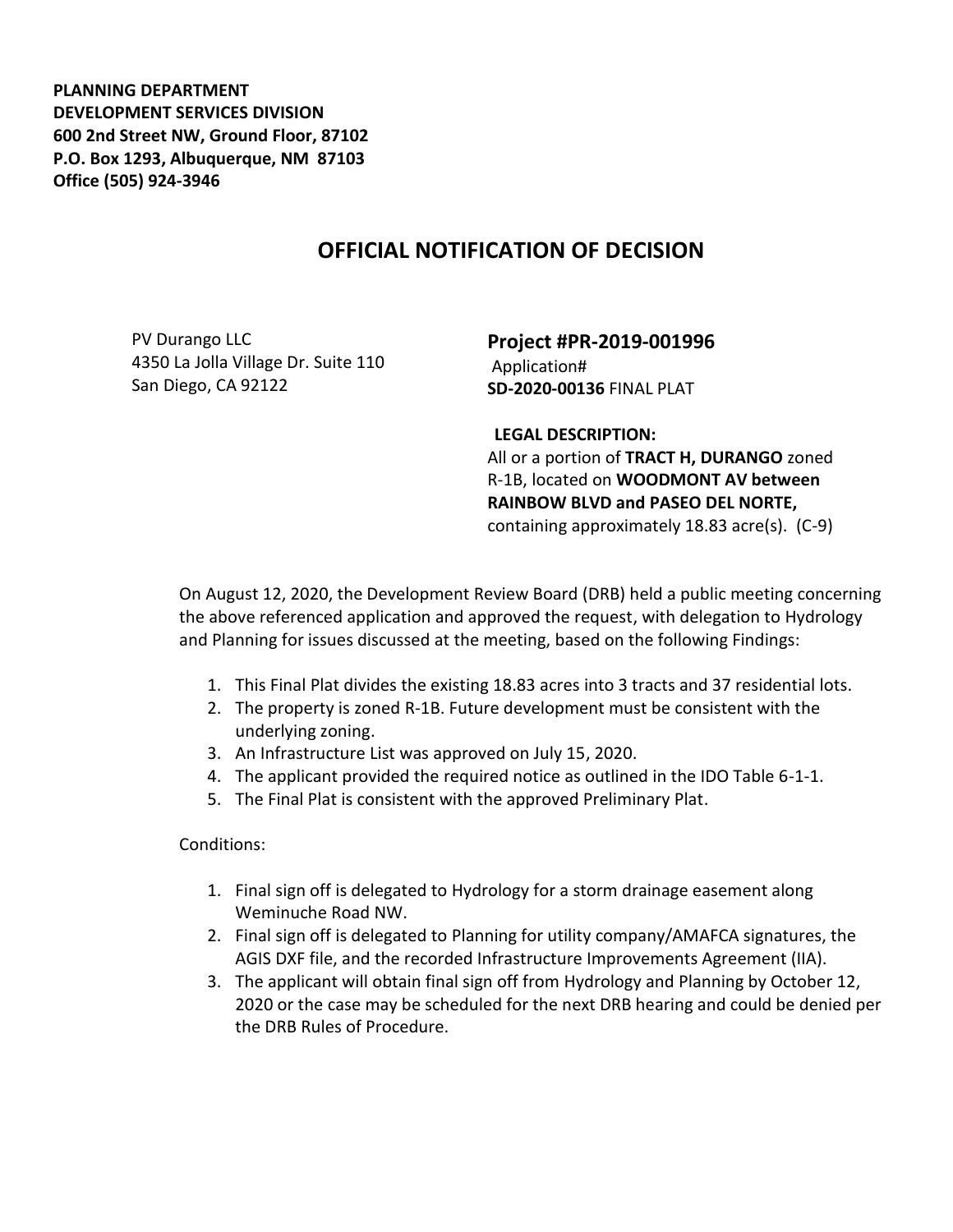**PLANNING DEPARTMENT DEVELOPMENT SERVICES DIVISION 600 2nd Street NW, Ground Floor, 87102 P.O. Box 1293, Albuquerque, NM 87103 Office (505) 924-3946** 

## **OFFICIAL NOTIFICATION OF DECISION**

PV Durango LLC 4350 La Jolla Village Dr. Suite 110 San Diego, CA 92122

**Project #PR-2019-001996** Application# **SD-2020-00136** FINAL PLAT

## **LEGAL DESCRIPTION:**

All or a portion of **TRACT H, DURANGO** zoned R-1B, located on **WOODMONT AV between RAINBOW BLVD and PASEO DEL NORTE,**  containing approximately 18.83 acre(s). (C-9)

On August 12, 2020, the Development Review Board (DRB) held a public meeting concerning the above referenced application and approved the request, with delegation to Hydrology and Planning for issues discussed at the meeting, based on the following Findings:

- 1. This Final Plat divides the existing 18.83 acres into 3 tracts and 37 residential lots.
- 2. The property is zoned R-1B. Future development must be consistent with the underlying zoning.
- 3. An Infrastructure List was approved on July 15, 2020.
- 4. The applicant provided the required notice as outlined in the IDO Table 6-1-1.
- 5. The Final Plat is consistent with the approved Preliminary Plat.

Conditions:

- 1. Final sign off is delegated to Hydrology for a storm drainage easement along Weminuche Road NW.
- 2. Final sign off is delegated to Planning for utility company/AMAFCA signatures, the AGIS DXF file, and the recorded Infrastructure Improvements Agreement (IIA).
- 3. The applicant will obtain final sign off from Hydrology and Planning by October 12, 2020 or the case may be scheduled for the next DRB hearing and could be denied per the DRB Rules of Procedure.